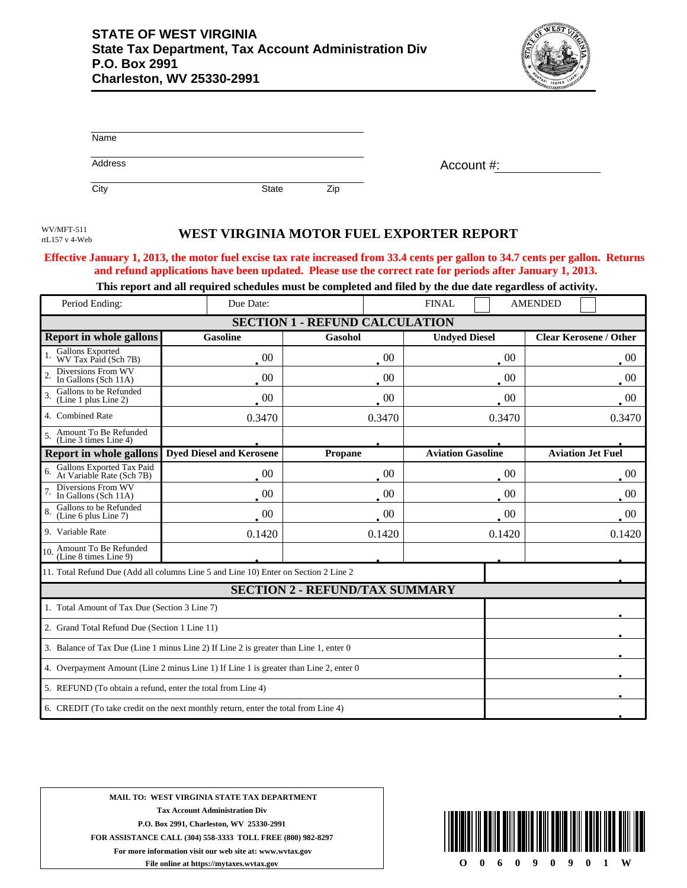

| Name    |              |     |            |
|---------|--------------|-----|------------|
| Address |              |     | Account #: |
| City    | <b>State</b> | Zip |            |

rtL157 v 4-Web

## WEST VIRGINIA MOTOR FUEL EXPORTER REPORT

## **Effective January 1, 2013, the motor fuel excise tax rate increased from 33.4 cents per gallon to 34.7 cents per gallon. Returns and refund applications have been updated. Please use the correct rate for periods after January 1, 2013.**

**This report and all required schedules must be completed and filed by the due date regardless of activity.**

| Period Ending:                                                                        | Due Date:                       | <b>FINAL</b>   |                          | <b>AMENDED</b>                |  |  |  |
|---------------------------------------------------------------------------------------|---------------------------------|----------------|--------------------------|-------------------------------|--|--|--|
| <b>SECTION 1 - REFUND CALCULATION</b>                                                 |                                 |                |                          |                               |  |  |  |
| <b>Report in whole gallons</b>                                                        | <b>Gasoline</b>                 | Gasohol        | <b>Undyed Diesel</b>     | <b>Clear Kerosene / Other</b> |  |  |  |
| Gallons Exported<br>WV Tax Paid (Sch 7B)                                              | $00\,$                          | 00             | 00                       | $00\,$                        |  |  |  |
| Diversions From WV<br>In Gallons (Sch 11A)                                            | 00                              | 00             | 00                       | 00                            |  |  |  |
| Gallons to be Refunded<br>(Line 1 plus Line 2)                                        | $\overline{00}$                 | $00\,$         | 00                       | $00\,$                        |  |  |  |
| 4. Combined Rate                                                                      | 0.3470                          | 0.3470         | 0.3470                   | 0.3470                        |  |  |  |
| Amount To Be Refunded<br>(Line 3 times Line 4)                                        |                                 |                |                          |                               |  |  |  |
| Report in whole gallons                                                               | <b>Dyed Diesel and Kerosene</b> | <b>Propane</b> | <b>Aviation Gasoline</b> | <b>Aviation Jet Fuel</b>      |  |  |  |
| Gallons Exported Tax Paid<br>At Variable Rate (Sch 7B)                                | 00                              | 00             | 00                       | $00\,$                        |  |  |  |
| Diversions From WV<br>In Gallons (Sch 11A)                                            | $\cdot$ 00                      | $00\,$         | 00                       | $00\,$                        |  |  |  |
| Gallons to be Refunded<br>8.<br>(Line 6 plus Line 7)                                  | -00                             | 00             | $00\,$                   | -00                           |  |  |  |
| 9. Variable Rate                                                                      | 0.1420                          | 0.1420         | 0.1420                   | 0.1420                        |  |  |  |
| 10. Amount To Be Refunded<br>(Line 8 times Line 9)                                    |                                 |                |                          |                               |  |  |  |
| 11. Total Refund Due (Add all columns Line 5 and Line 10) Enter on Section 2 Line 2   |                                 |                |                          |                               |  |  |  |
| <b>SECTION 2 - REFUND/TAX SUMMARY</b>                                                 |                                 |                |                          |                               |  |  |  |
| 1. Total Amount of Tax Due (Section 3 Line 7)                                         |                                 |                |                          |                               |  |  |  |
| 2. Grand Total Refund Due (Section 1 Line 11)                                         |                                 |                |                          |                               |  |  |  |
| 3. Balance of Tax Due (Line 1 minus Line 2) If Line 2 is greater than Line 1, enter 0 |                                 |                |                          |                               |  |  |  |
| 4. Overpayment Amount (Line 2 minus Line 1) If Line 1 is greater than Line 2, enter 0 |                                 |                |                          |                               |  |  |  |
| 5. REFUND (To obtain a refund, enter the total from Line 4)                           |                                 |                |                          |                               |  |  |  |
| 6. CREDIT (To take credit on the next monthly return, enter the total from Line 4)    |                                 |                |                          |                               |  |  |  |

**MAIL TO: WEST VIRGINIA STATE TAX DEPARTMENT Tax Account Administration Div P.O. Box 2991, Charleston, WV 25330-2991 FOR ASSISTANCE CALL (304) 558-3333 TOLL FREE (800) 982-8297 For more information visit our web site at: www.wvtax.gov File online at https://mytaxes.wvtax.gov**